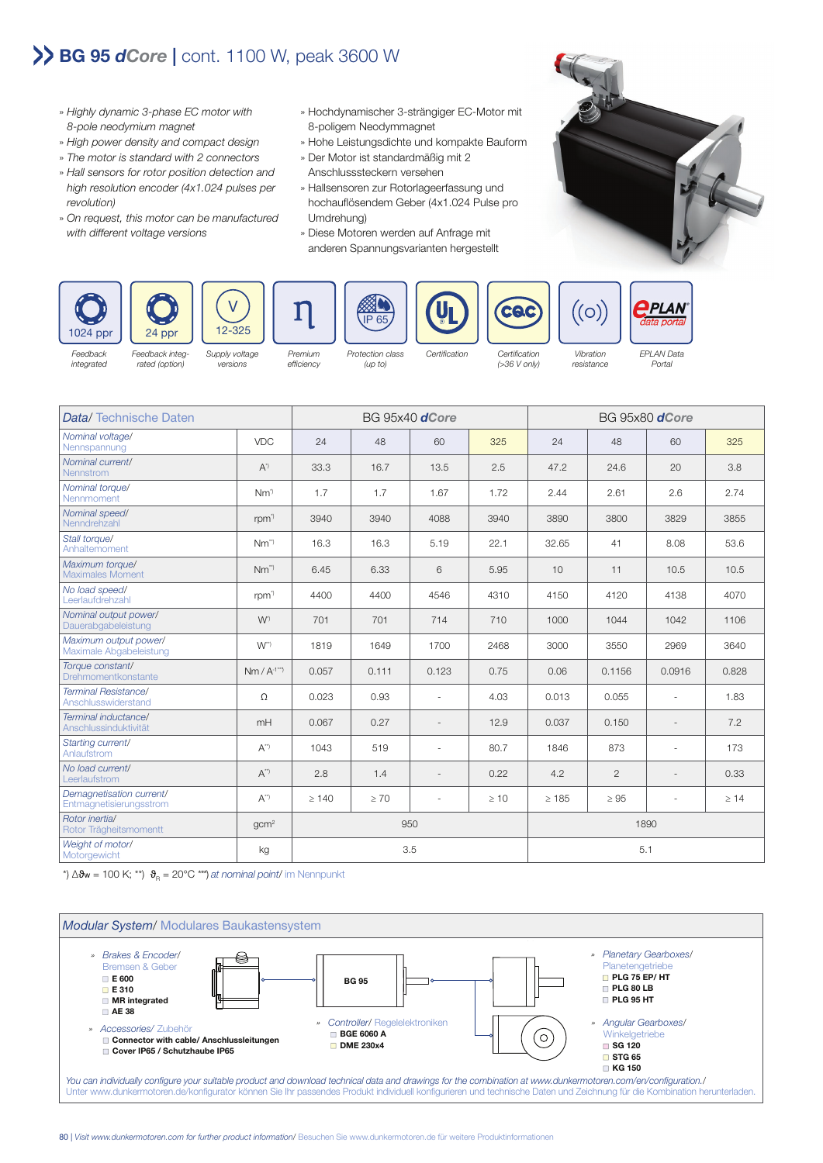## **BG 95** *dCore* **|** cont. 1100 W, peak 3600 W

- » Highly dynamic 3-phase EC motor with 8-pole neodymium magnet
- » High power density and compact design
- » The motor is standard with 2 connectors
- » Hall sensors for rotor position detection and high resolution encoder (4x1.024 pulses per revolution)
- » On request, this motor can be manufactured with different voltage versions
- » Hochdynamischer 3-strängiger EC-Motor mit 8-poligem Neodymmagnet
- » Hohe Leistungsdichte und kompakte Bauform
- » Der Motor ist standardmäßig mit 2 Anschlusssteckern versehen
- » Hallsensoren zur Rotorlageerfassung und hochauflösendem Geber (4x1.024 Pulse pro Umdrehung)
- » Diese Motoren werden auf Anfrage mit anderen Spannungsvarianten hergestellt



**Feedback** integrated

rated (option)

versions

(up to)

efficiency

(>36 V only)

resistance Portal



Data/ Technische Daten BG 95x40 *dCore* BG 95x80 *dCore* Nominal voltage/ Nennspannung VDC 24 48 60 325 24 48 60 325 Nominal current/ Nennstrom A\*\* | A\*\* | 33.3 | 16.7 | 13.5 | 2.5 | 47.2 | 24.6 | 20 | 3.8<br>Nennstrom Nominal torque/ Nennmoment Nm<sup>\*</sup> | Nm<sup>\*</sup> | 1.7 | 1.7 | 1.67 | 1.72 | 2.44 | 2.61 | 2.6 | 2.74<br>Nennmoment Nominal speed/ Nenndrehzahl rpm\*) 3940 3940 4088 3940 3890 3800 3829 3855 Stall torque/ 0.2 Martioryder<br>Anhaltemoment 1980 Nm<sup>\*\*</sup> | 16.3 | 16.3 | 5.19 | 22.1 | 32.65 | 41 | 8.08 | 53.6 Maximum torque/ Maximales Moment **Nm<sup>\*\*</sup>** Nm<sup>\*\*</sup> | 6.45 | 6.33 | 6 | 5.95 | 10 | 11 | 10.5 | 10.5<br>Maximales Moment No load speed/ Leerlaufdrehzahl rpm\*) 4400 4400 4546 4310 4150 4120 4138 4070 Nominal output power/ Norminal Odput Dower<br>Dauerabgabeleistung New York | 1001 | 701 | 714 | 710 | 1000 | 1044 | 1042 | 1106 Maximum output power/ Maximale Abgabeleistung W\*\*) 1819 1649 1700 2468 3000 3550 2969 3640 Torque constant/<br>Drehmomentkonstante Porque Constantinum (1991) 1999 10.057 | 0.057 | 0.111 | 0.123 | 0.75 | 0.06 | 0.1156 | 0.0916 | 0.828<br>Drehmomentkonstante **Terminal Resistance/**<br>Anschlusswiderstand Herminar resistancer<br>Anschlusswiderstand 1.83 Ω 0.023 0.93 - 4.03 0.013 0.055 - 1.83 Terminal inductance/ Perminar maakstander<br>Anschlussinduktivität – MH 0.067 0.27 - 12.9 0.037 0.150 - 7.2 Starting current/ Anlaufstrom A\*\*) 1043 519 - 80.7 1846 873 - 173 No load current/ Leerlaufstrom A\*\*) 2.8 1.4 - 0.22 4.2 2 - 0.33 Demagnetisation current/<br>Fntmagnetisierungsstrom Peringy repsabor Carrena<br>Entmagnetisierungsstrom – A<sup>\*\*</sup> | ≥ 140 | ≥ 70 | - | ≥ 10 | ≥ 185 | ≥ 95 | - | ≥ 14 Rotor inertia/ Rotor Trägheitsmomentt gcm2 950 1890 Weight of motor/  $M$ Motorgewicht  $\begin{vmatrix} \text{Weyl} & \text{Weyl} \\ \text{Motorgewicht} & \text{S.1} \end{vmatrix}$ 

\*)  $\Delta\vartheta_{\rm w}$  = 100 K; \*\*)  $\vartheta_{\rm p}$  = 20°C \*\*\*) at nominal point/ im Nennpunkt